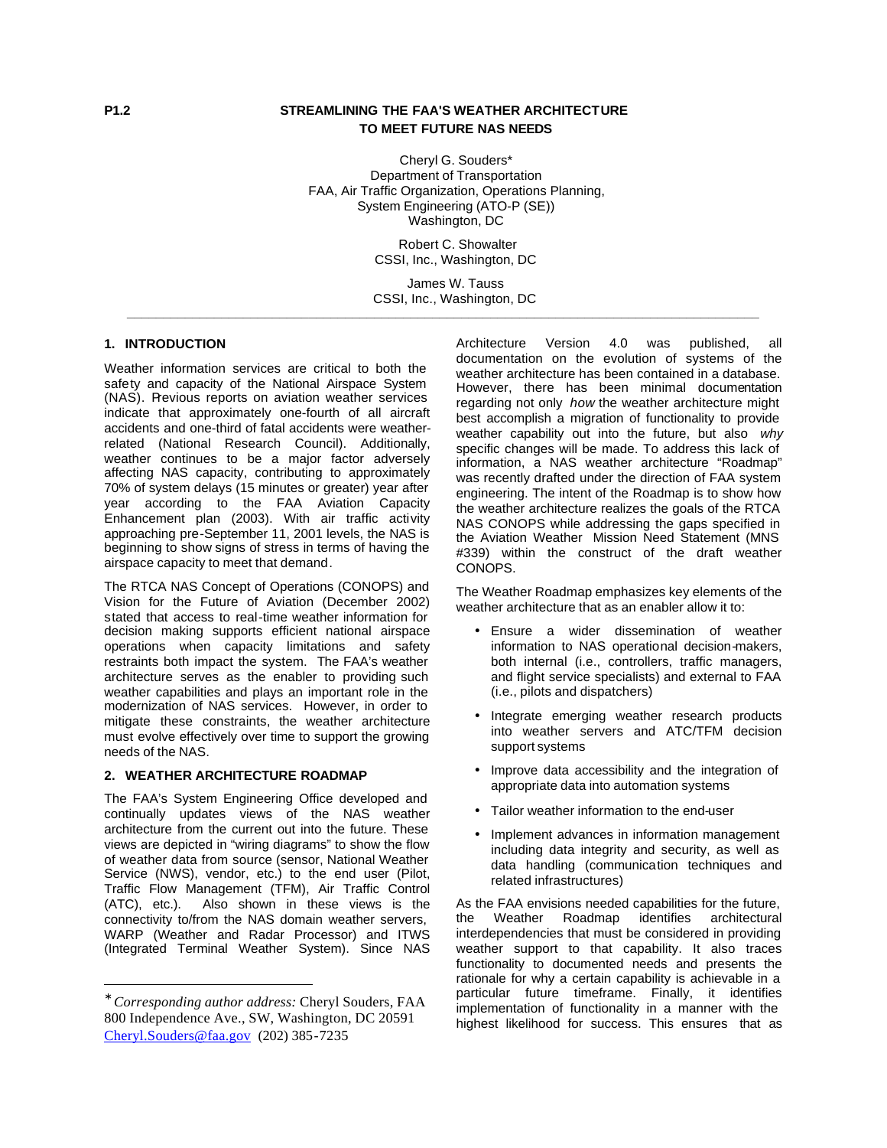# **P1.2 STREAMLINING THE FAA'S WEATHER ARCHITECTURE TO MEET FUTURE NAS NEEDS**

Cheryl G. Souders\* Department of Transportation FAA, Air Traffic Organization, Operations Planning, System Engineering (ATO-P (SE)) Washington, DC

> Robert C. Showalter CSSI, Inc., Washington, DC

James W. Tauss CSSI, Inc., Washington, DC **\_\_\_\_\_\_\_\_\_\_\_\_\_\_\_\_\_\_\_\_\_\_\_\_\_\_\_\_\_\_\_\_\_\_\_\_\_\_\_\_\_\_\_\_\_\_\_\_\_\_\_\_\_\_\_\_\_\_\_\_\_\_\_\_\_\_\_\_\_\_\_\_\_\_\_\_\_\_\_\_\_\_\_\_\_\_\_**

# **1. INTRODUCTION\***

Weather information services are critical to both the safety and capacity of the National Airspace System (NAS). Previous reports on aviation weather services indicate that approximately one-fourth of all aircraft accidents and one-third of fatal accidents were weatherrelated (National Research Council). Additionally, weather continues to be a major factor adversely affecting NAS capacity, contributing to approximately 70% of system delays (15 minutes or greater) year after year according to the FAA Aviation Capacity Enhancement plan (2003). With air traffic activity approaching pre-September 11, 2001 levels, the NAS is beginning to show signs of stress in terms of having the airspace capacity to meet that demand.

The RTCA NAS Concept of Operations (CONOPS) and Vision for the Future of Aviation (December 2002) stated that access to real-time weather information for decision making supports efficient national airspace operations when capacity limitations and safety restraints both impact the system. The FAA's weather architecture serves as the enabler to providing such weather capabilities and plays an important role in the modernization of NAS services. However, in order to mitigate these constraints, the weather architecture must evolve effectively over time to support the growing needs of the NAS.

# **2. WEATHER ARCHITECTURE ROADMAP**

The FAA's System Engineering Office developed and continually updates views of the NAS weather architecture from the current out into the future. These views are depicted in "wiring diagrams" to show the flow of weather data from source (sensor, National Weather Service (NWS), vendor, etc.) to the end user (Pilot, Traffic Flow Management (TFM), Air Traffic Control Also shown in these views is the connectivity to/from the NAS domain weather servers, WARP (Weather and Radar Processor) and ITWS (Integrated Terminal Weather System). Since NAS

 $\overline{a}$ 

Architecture Version 4.0 was published, all documentation on the evolution of systems of the weather architecture has been contained in a database. However, there has been minimal documentation regarding not only *how* the weather architecture might best accomplish a migration of functionality to provide weather capability out into the future, but also *why* specific changes will be made. To address this lack of information, a NAS weather architecture "Roadmap" was recently drafted under the direction of FAA system engineering. The intent of the Roadmap is to show how the weather architecture realizes the goals of the RTCA NAS CONOPS while addressing the gaps specified in the Aviation Weather Mission Need Statement (MNS #339) within the construct of the draft weather CONOPS.

The Weather Roadmap emphasizes key elements of the weather architecture that as an enabler allow it to:

- Ensure a wider dissemination of weather information to NAS operational decision-makers, both internal (i.e., controllers, traffic managers, and flight service specialists) and external to FAA (i.e., pilots and dispatchers)
- Integrate emerging weather research products into weather servers and ATC/TFM decision support systems
- Improve data accessibility and the integration of appropriate data into automation systems
- Tailor weather information to the end-user
- Implement advances in information management including data integrity and security, as well as data handling (communication techniques and related infrastructures)

As the FAA envisions needed capabilities for the future, the Weather Roadmap identifies architectural interdependencies that must be considered in providing weather support to that capability. It also traces functionality to documented needs and presents the rationale for why a certain capability is achievable in a particular future timeframe. Finally, it identifies implementation of functionality in a manner with the highest likelihood for success. This ensures that as

<sup>∗</sup> *Corresponding author address:* Cheryl Souders, FAA 800 Independence Ave., SW, Washington, DC 20591 Cheryl.Souders@faa.gov (202) 385-7235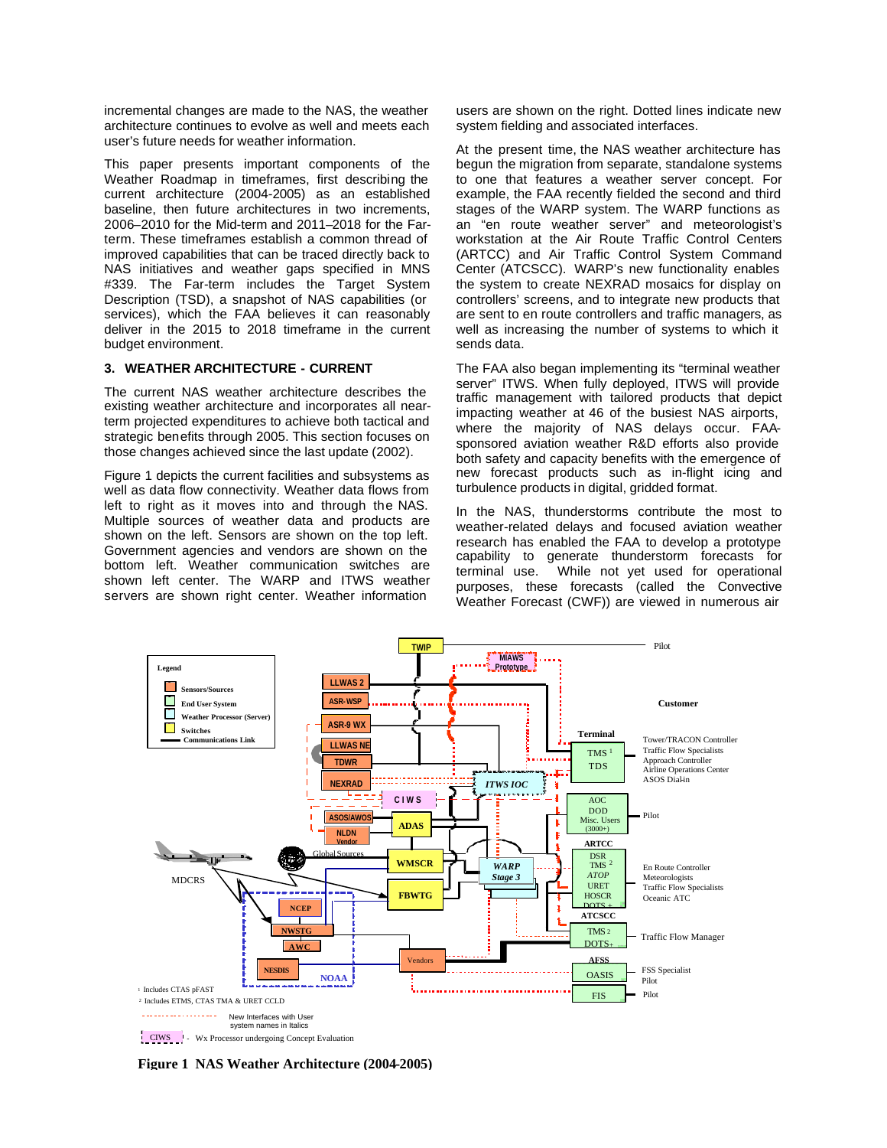incremental changes are made to the NAS, the weather architecture continues to evolve as well and meets each user's future needs for weather information.

This paper presents important components of the Weather Roadmap in timeframes, first describing the current architecture (2004-2005) as an established baseline, then future architectures in two increments, 2006–2010 for the Mid-term and 2011–2018 for the Farterm. These timeframes establish a common thread of improved capabilities that can be traced directly back to NAS initiatives and weather gaps specified in MNS #339. The Far-term includes the Target System Description (TSD), a snapshot of NAS capabilities (or services), which the FAA believes it can reasonably deliver in the 2015 to 2018 timeframe in the current budget environment.

# **3. WEATHER ARCHITECTURE - CURRENT**

The current NAS weather architecture describes the existing weather architecture and incorporates all nearterm projected expenditures to achieve both tactical and strategic benefits through 2005. This section focuses on those changes achieved since the last update (2002).

Figure 1 depicts the current facilities and subsystems as well as data flow connectivity. Weather data flows from left to right as it moves into and through the NAS. Multiple sources of weather data and products are shown on the left. Sensors are shown on the top left. Government agencies and vendors are shown on the bottom left. Weather communication switches are shown left center. The WARP and ITWS weather servers are shown right center. Weather information

users are shown on the right. Dotted lines indicate new system fielding and associated interfaces.

At the present time, the NAS weather architecture has begun the migration from separate, standalone systems to one that features a weather server concept. For example, the FAA recently fielded the second and third stages of the WARP system. The WARP functions as an "en route weather server" and meteorologist's workstation at the Air Route Traffic Control Centers (ARTCC) and Air Traffic Control System Command Center (ATCSCC). WARP's new functionality enables the system to create NEXRAD mosaics for display on controllers' screens, and to integrate new products that are sent to en route controllers and traffic managers, as well as increasing the number of systems to which it sends data.

The FAA also began implementing its "terminal weather server" ITWS. When fully deployed, ITWS will provide traffic management with tailored products that depict impacting weather at 46 of the busiest NAS airports, where the majority of NAS delays occur. FAAsponsored aviation weather R&D efforts also provide both safety and capacity benefits with the emergence of new forecast products such as in-flight icing and turbulence products in digital, gridded format.

In the NAS, thunderstorms contribute the most to weather-related delays and focused aviation weather research has enabled the FAA to develop a prototype capability to generate thunderstorm forecasts for terminal use. While not yet used for operational purposes, these forecasts (called the Convective Weather Forecast (CWF)) are viewed in numerous air



**Figure 1 NAS Weather Architecture (2004-2005)**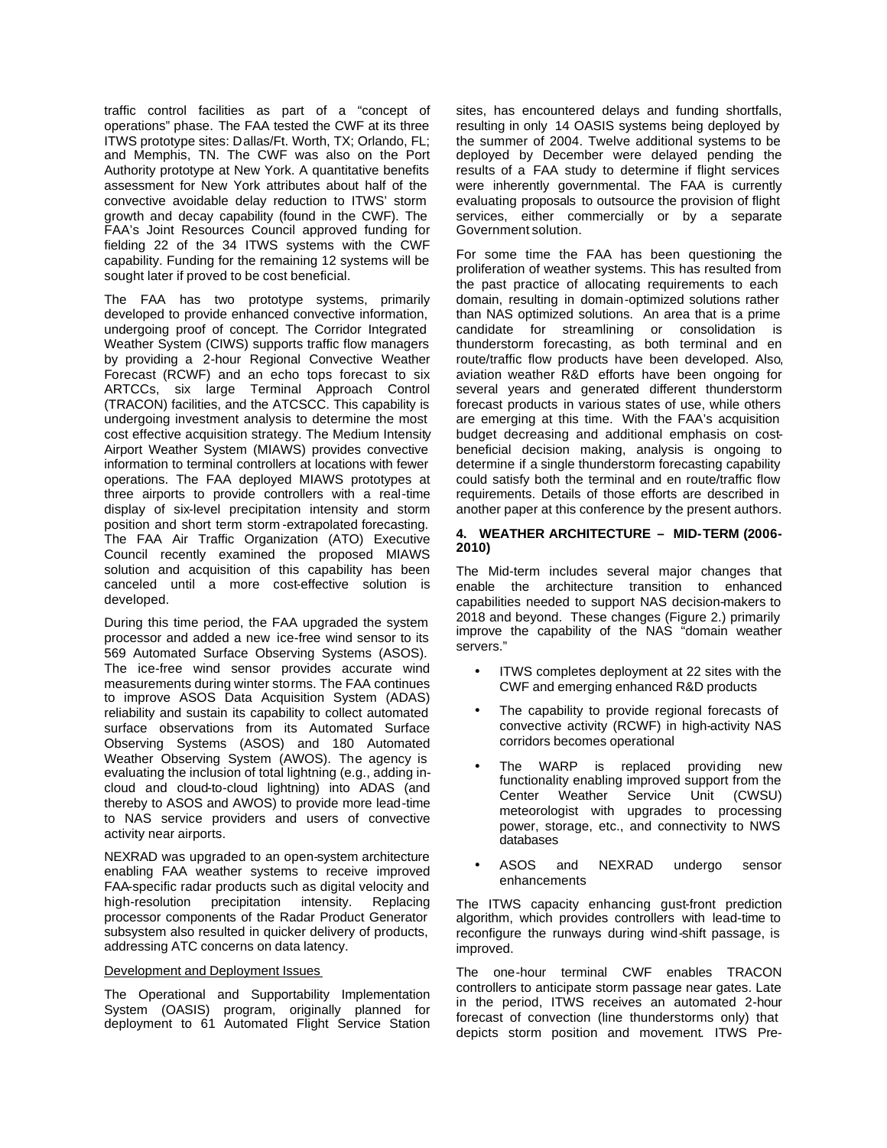traffic control facilities as part of a "concept of operations" phase. The FAA tested the CWF at its three ITWS prototype sites: Dallas/Ft. Worth, TX; Orlando, FL; and Memphis, TN. The CWF was also on the Port Authority prototype at New York. A quantitative benefits assessment for New York attributes about half of the convective avoidable delay reduction to ITWS' storm growth and decay capability (found in the CWF). The FAA's Joint Resources Council approved funding for fielding 22 of the 34 ITWS systems with the CWF capability. Funding for the remaining 12 systems will be sought later if proved to be cost beneficial.

The FAA has two prototype systems, primarily developed to provide enhanced convective information, undergoing proof of concept. The Corridor Integrated Weather System (CIWS) supports traffic flow managers by providing a 2-hour Regional Convective Weather Forecast (RCWF) and an echo tops forecast to six ARTCCs, six large Terminal Approach Control (TRACON) facilities, and the ATCSCC. This capability is undergoing investment analysis to determine the most cost effective acquisition strategy. The Medium Intensity Airport Weather System (MIAWS) provides convective information to terminal controllers at locations with fewer operations. The FAA deployed MIAWS prototypes at three airports to provide controllers with a real-time display of six-level precipitation intensity and storm position and short term storm -extrapolated forecasting. The FAA Air Traffic Organization (ATO) Executive Council recently examined the proposed MIAWS solution and acquisition of this capability has been canceled until a more cost-effective solution is developed.

During this time period, the FAA upgraded the system processor and added a new ice-free wind sensor to its 569 Automated Surface Observing Systems (ASOS). The ice-free wind sensor provides accurate wind measurements during winter storms. The FAA continues to improve ASOS Data Acquisition System (ADAS) reliability and sustain its capability to collect automated surface observations from its Automated Surface Observing Systems (ASOS) and 180 Automated Weather Observing System (AWOS). The agency is evaluating the inclusion of total lightning (e.g., adding incloud and cloud-to-cloud lightning) into ADAS (and thereby to ASOS and AWOS) to provide more lead-time to NAS service providers and users of convective activity near airports.

NEXRAD was upgraded to an open-system architecture enabling FAA weather systems to receive improved FAA-specific radar products such as digital velocity and high-resolution precipitation intensity. Replacing processor components of the Radar Product Generator subsystem also resulted in quicker delivery of products, addressing ATC concerns on data latency.

### Development and Deployment Issues

The Operational and Supportability Implementation System (OASIS) program, originally planned for deployment to 61 Automated Flight Service Station sites, has encountered delays and funding shortfalls, resulting in only 14 OASIS systems being deployed by the summer of 2004. Twelve additional systems to be deployed by December were delayed pending the results of a FAA study to determine if flight services were inherently governmental. The FAA is currently evaluating proposals to outsource the provision of flight services, either commercially or by a separate Government solution.

For some time the FAA has been questioning the proliferation of weather systems. This has resulted from the past practice of allocating requirements to each domain, resulting in domain-optimized solutions rather than NAS optimized solutions. An area that is a prime candidate for streamlining or consolidation is thunderstorm forecasting, as both terminal and en route/traffic flow products have been developed. Also, aviation weather R&D efforts have been ongoing for several years and generated different thunderstorm forecast products in various states of use, while others are emerging at this time. With the FAA's acquisition budget decreasing and additional emphasis on costbeneficial decision making, analysis is ongoing to determine if a single thunderstorm forecasting capability could satisfy both the terminal and en route/traffic flow requirements. Details of those efforts are described in another paper at this conference by the present authors.

### **4. WEATHER ARCHITECTURE – MID-TERM (2006- 2010)**

The Mid-term includes several major changes that enable the architecture transition to enhanced capabilities needed to support NAS decision-makers to 2018 and beyond. These changes (Figure 2.) primarily improve the capability of the NAS "domain weather servers."

- ITWS completes deployment at 22 sites with the CWF and emerging enhanced R&D products
- The capability to provide regional forecasts of convective activity (RCWF) in high-activity NAS corridors becomes operational
- The WARP is replaced providing new functionality enabling improved support from the Center Weather Service Unit (CWSU) meteorologist with upgrades to processing power, storage, etc., and connectivity to NWS databases
- ASOS and NEXRAD undergo sensor enhancements

The ITWS capacity enhancing gust-front prediction algorithm, which provides controllers with lead-time to reconfigure the runways during wind-shift passage, is improved.

The one-hour terminal CWF enables TRACON controllers to anticipate storm passage near gates. Late in the period, ITWS receives an automated 2-hour forecast of convection (line thunderstorms only) that depicts storm position and movement. ITWS Pre-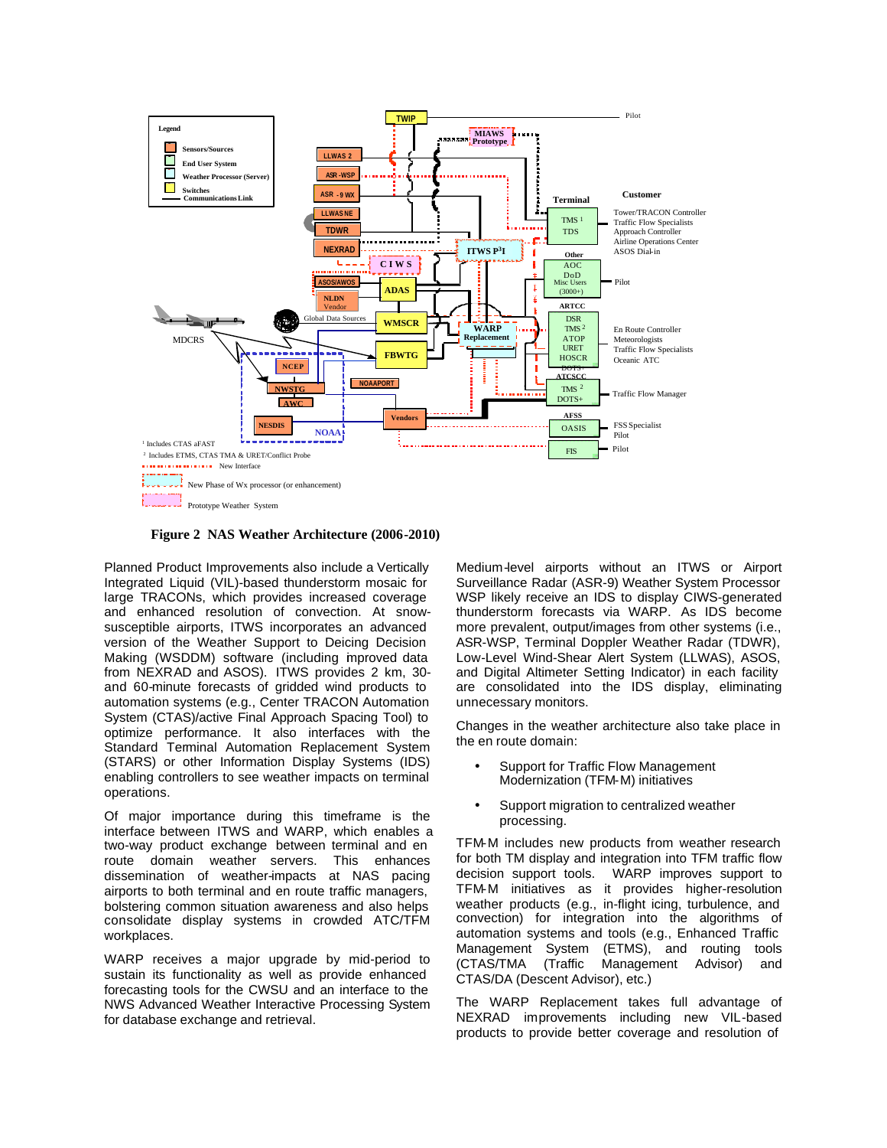

**Figure 2 NAS Weather Architecture (2006-2010)**

Planned Product Improvements also include a Vertically Integrated Liquid (VIL)-based thunderstorm mosaic for large TRACONs, which provides increased coverage and enhanced resolution of convection. At snowsusceptible airports, ITWS incorporates an advanced version of the Weather Support to Deicing Decision Making (WSDDM) software (including improved data from NEXRAD and ASOS). ITWS provides 2 km, 30 and 60-minute forecasts of gridded wind products to automation systems (e.g., Center TRACON Automation System (CTAS)/active Final Approach Spacing Tool) to optimize performance. It also interfaces with the Standard Terminal Automation Replacement System (STARS) or other Information Display Systems (IDS) enabling controllers to see weather impacts on terminal operations.

Of major importance during this timeframe is the interface between ITWS and WARP, which enables a two-way product exchange between terminal and en route domain weather servers. This enhances dissemination of weather-impacts at NAS pacing airports to both terminal and en route traffic managers, bolstering common situation awareness and also helps consolidate display systems in crowded ATC/TFM workplaces.

WARP receives a major upgrade by mid-period to sustain its functionality as well as provide enhanced forecasting tools for the CWSU and an interface to the NWS Advanced Weather Interactive Processing System for database exchange and retrieval.

Medium-level airports without an ITWS or Airport Surveillance Radar (ASR-9) Weather System Processor WSP likely receive an IDS to display CIWS-generated thunderstorm forecasts via WARP. As IDS become more prevalent, output/images from other systems (i.e., ASR-WSP, Terminal Doppler Weather Radar (TDWR), Low-Level Wind-Shear Alert System (LLWAS), ASOS, and Digital Altimeter Setting Indicator) in each facility are consolidated into the IDS display, eliminating unnecessary monitors.

Changes in the weather architecture also take place in the en route domain:

- Support for Traffic Flow Management Modernization (TFM-M) initiatives
- Support migration to centralized weather processing.

TFM-M includes new products from weather research for both TM display and integration into TFM traffic flow decision support tools. WARP improves support to TFM-M initiatives as it provides higher-resolution weather products (e.g., in-flight icing, turbulence, and convection) for integration into the algorithms of automation systems and tools (e.g., Enhanced Traffic Management System (ETMS), and routing tools (CTAS/TMA (Traffic Management Advisor) and CTAS/DA (Descent Advisor), etc.)

The WARP Replacement takes full advantage of NEXRAD improvements including new VIL-based products to provide better coverage and resolution of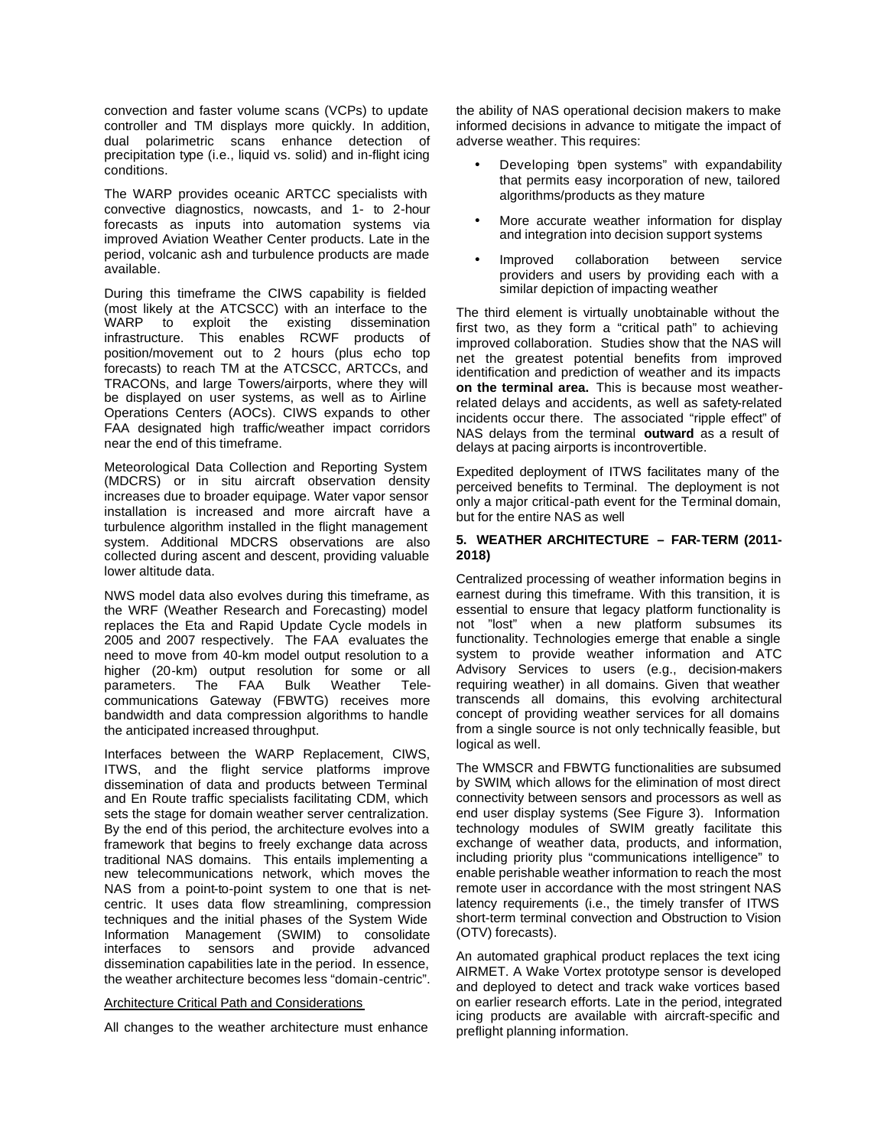convection and faster volume scans (VCPs) to update controller and TM displays more quickly. In addition, dual polarimetric scans enhance detection of precipitation type (i.e., liquid vs. solid) and in-flight icing conditions.

The WARP provides oceanic ARTCC specialists with convective diagnostics, nowcasts, and 1- to 2-hour forecasts as inputs into automation systems via improved Aviation Weather Center products. Late in the period, volcanic ash and turbulence products are made available.

During this timeframe the CIWS capability is fielded (most likely at the ATCSCC) with an interface to the existing dissemination infrastructure. This enables RCWF products of position/movement out to 2 hours (plus echo top forecasts) to reach TM at the ATCSCC, ARTCCs, and TRACONs, and large Towers/airports, where they will be displayed on user systems, as well as to Airline Operations Centers (AOCs). CIWS expands to other FAA designated high traffic/weather impact corridors near the end of this timeframe.

Meteorological Data Collection and Reporting System (MDCRS) or in situ aircraft observation density increases due to broader equipage. Water vapor sensor installation is increased and more aircraft have a turbulence algorithm installed in the flight management system. Additional MDCRS observations are also collected during ascent and descent, providing valuable lower altitude data.

NWS model data also evolves during this timeframe, as the WRF (Weather Research and Forecasting) model replaces the Eta and Rapid Update Cycle models in 2005 and 2007 respectively. The FAA evaluates the need to move from 40-km model output resolution to a higher (20-km) output resolution for some or all parameters. The FAA Bulk Weather Telecommunications Gateway (FBWTG) receives more bandwidth and data compression algorithms to handle the anticipated increased throughput.

Interfaces between the WARP Replacement, CIWS, ITWS, and the flight service platforms improve dissemination of data and products between Terminal and En Route traffic specialists facilitating CDM, which sets the stage for domain weather server centralization. By the end of this period, the architecture evolves into a framework that begins to freely exchange data across traditional NAS domains. This entails implementing a new telecommunications network, which moves the NAS from a point-to-point system to one that is netcentric. It uses data flow streamlining, compression techniques and the initial phases of the System Wide Information Management (SWIM) to consolidate interfaces to sensors and provide advanced dissemination capabilities late in the period. In essence, the weather architecture becomes less "domain-centric".

### Architecture Critical Path and Considerations

All changes to the weather architecture must enhance

the ability of NAS operational decision makers to make informed decisions in advance to mitigate the impact of adverse weather. This requires:

- Developing 'bpen systems" with expandability that permits easy incorporation of new, tailored algorithms/products as they mature
- More accurate weather information for display and integration into decision support systems
- Improved collaboration between service providers and users by providing each with a similar depiction of impacting weather

The third element is virtually unobtainable without the first two, as they form a "critical path" to achieving improved collaboration. Studies show that the NAS will net the greatest potential benefits from improved identification and prediction of weather and its impacts **on the terminal area.** This is because most weatherrelated delays and accidents, as well as safety-related incidents occur there. The associated "ripple effect" of NAS delays from the terminal **outward** as a result of delays at pacing airports is incontrovertible.

Expedited deployment of ITWS facilitates many of the perceived benefits to Terminal. The deployment is not only a major critical-path event for the Terminal domain, but for the entire NAS as well

### **5. WEATHER ARCHITECTURE – FAR-TERM (2011- 2018)**

Centralized processing of weather information begins in earnest during this timeframe. With this transition, it is essential to ensure that legacy platform functionality is not "lost" when a new platform subsumes its functionality. Technologies emerge that enable a single system to provide weather information and ATC Advisory Services to users (e.g., decision-makers requiring weather) in all domains. Given that weather transcends all domains, this evolving architectural concept of providing weather services for all domains from a single source is not only technically feasible, but logical as well.

The WMSCR and FBWTG functionalities are subsumed by SWIM, which allows for the elimination of most direct connectivity between sensors and processors as well as end user display systems (See Figure 3). Information technology modules of SWIM greatly facilitate this exchange of weather data, products, and information, including priority plus "communications intelligence" to enable perishable weather information to reach the most remote user in accordance with the most stringent NAS latency requirements (i.e., the timely transfer of ITWS short-term terminal convection and Obstruction to Vision (OTV) forecasts).

An automated graphical product replaces the text icing AIRMET. A Wake Vortex prototype sensor is developed and deployed to detect and track wake vortices based on earlier research efforts. Late in the period, integrated icing products are available with aircraft-specific and preflight planning information.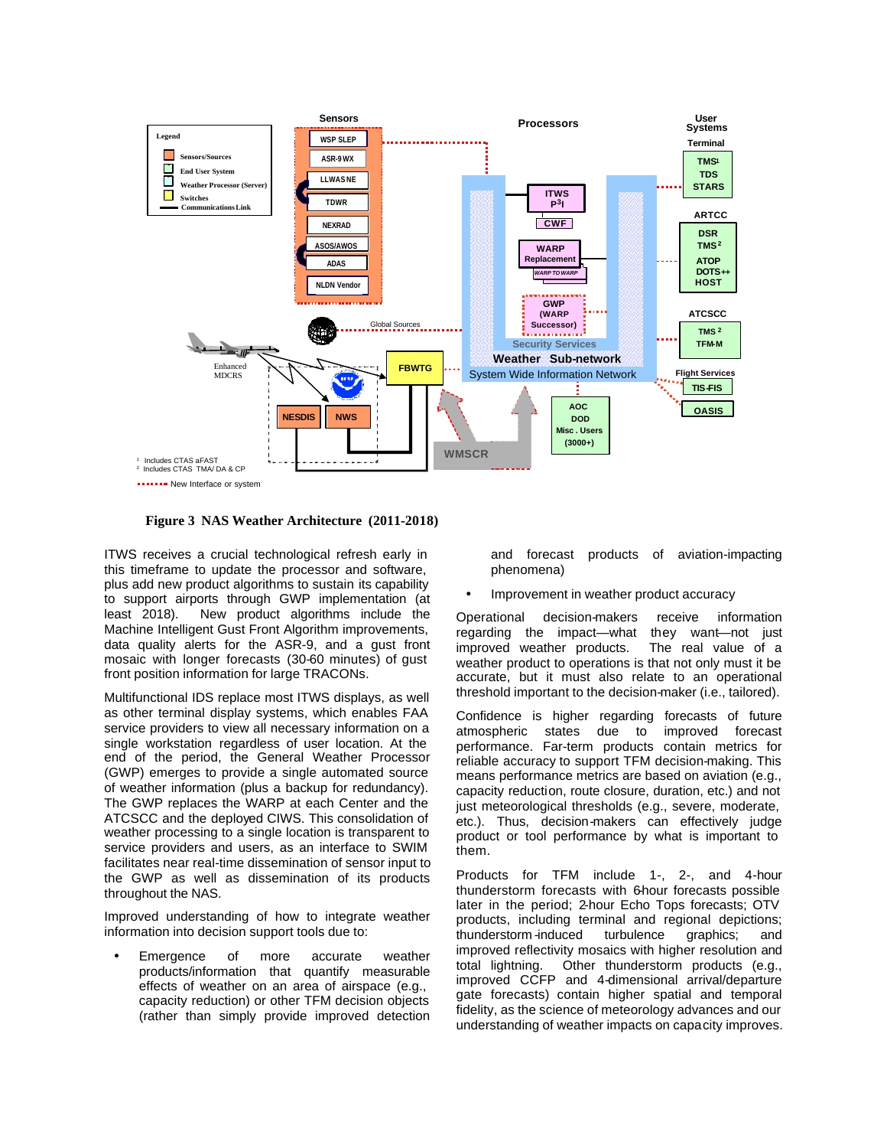

**Figure 3 NAS Weather Architecture (2011-2018)**

ITWS receives a crucial technological refresh early in this timeframe to update the processor and software, plus add new product algorithms to sustain its capability to support airports through GWP implementation (at least 2018). New product algorithms include the Machine Intelligent Gust Front Algorithm improvements, data quality alerts for the ASR-9, and a gust front mosaic with longer forecasts (30-60 minutes) of gust front position information for large TRACONs.

Multifunctional IDS replace most ITWS displays, as well as other terminal display systems, which enables FAA service providers to view all necessary information on a single workstation regardless of user location. At the end of the period, the General Weather Processor (GWP) emerges to provide a single automated source of weather information (plus a backup for redundancy). The GWP replaces the WARP at each Center and the ATCSCC and the deployed CIWS. This consolidation of weather processing to a single location is transparent to service providers and users, as an interface to SWIM facilitates near real-time dissemination of sensor input to the GWP as well as dissemination of its products throughout the NAS.

Improved understanding of how to integrate weather information into decision support tools due to:

Emergence of more accurate weather products/information that quantify measurable effects of weather on an area of airspace (e.g., capacity reduction) or other TFM decision objects (rather than simply provide improved detection and forecast products of aviation-impacting phenomena)

• Improvement in weather product accuracy

Operational decision-makers receive information regarding the impact—what they want—not just improved weather products. The real value of a weather product to operations is that not only must it be accurate, but it must also relate to an operational threshold important to the decision-maker (i.e., tailored).

Confidence is higher regarding forecasts of future atmospheric states due to improved forecast performance. Far-term products contain metrics for reliable accuracy to support TFM decision-making. This means performance metrics are based on aviation (e.g., capacity reduction, route closure, duration, etc.) and not just meteorological thresholds (e.g., severe, moderate, etc.). Thus, decision-makers can effectively judge product or tool performance by what is important to them.

Products for TFM include 1-, 2-, and 4-hour thunderstorm forecasts with 6-hour forecasts possible later in the period; 2-hour Echo Tops forecasts; OTV products, including terminal and regional depictions;<br>thunderstorm-induced turbulence graphics; and thunderstorm -induced turbulence graphics; and improved reflectivity mosaics with higher resolution and total lightning. Other thunderstorm products (e.g., improved CCFP and 4-dimensional arrival/departure gate forecasts) contain higher spatial and temporal fidelity, as the science of meteorology advances and our understanding of weather impacts on capacity improves.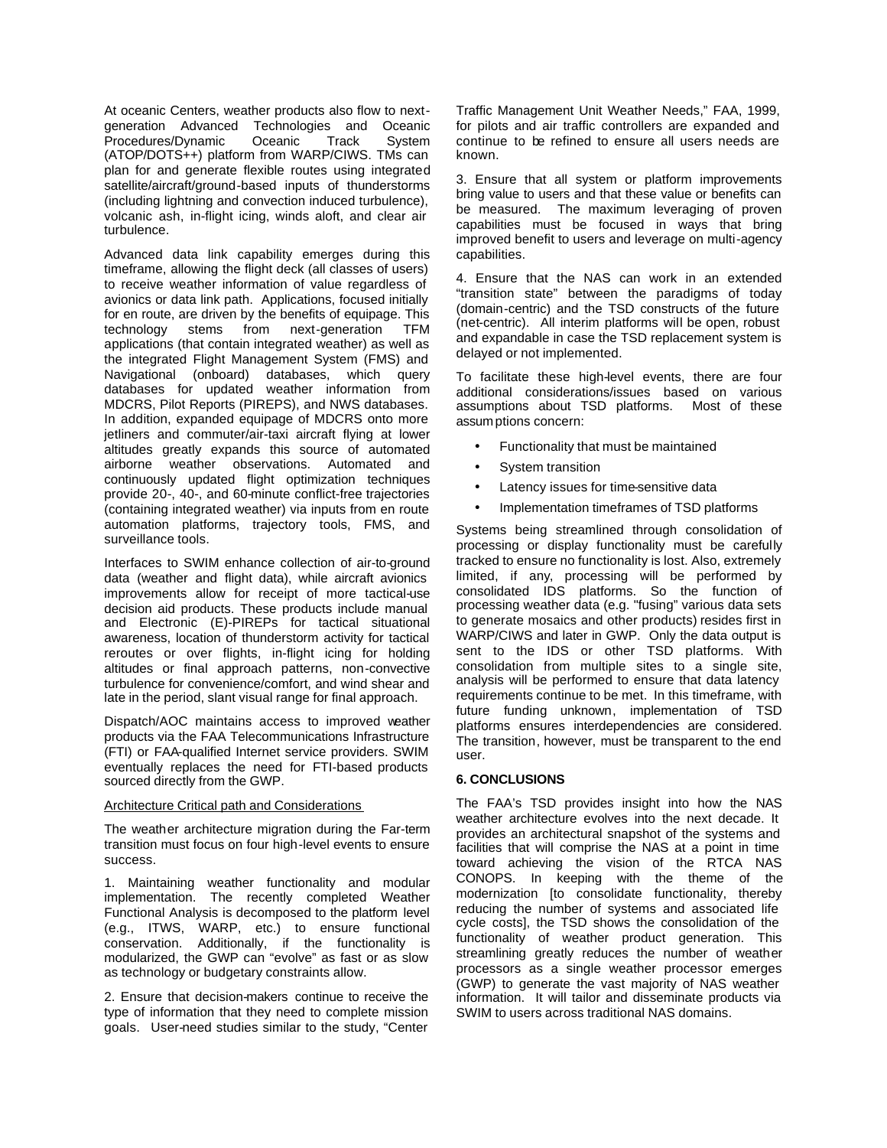At oceanic Centers, weather products also flow to nextgeneration Advanced Technologies and Oceanic Procedures/Dynamic Oceanic Track System (ATOP/DOTS++) platform from WARP/CIWS. TMs can plan for and generate flexible routes using integrated satellite/aircraft/ground-based inputs of thunderstorms (including lightning and convection induced turbulence), volcanic ash, in-flight icing, winds aloft, and clear air turbulence.

Advanced data link capability emerges during this timeframe, allowing the flight deck (all classes of users) to receive weather information of value regardless of avionics or data link path. Applications, focused initially for en route, are driven by the benefits of equipage. This technology stems from next-generation TFM applications (that contain integrated weather) as well as the integrated Flight Management System (FMS) and Navigational (onboard) databases, which query databases for updated weather information from MDCRS, Pilot Reports (PIREPS), and NWS databases. In addition, expanded equipage of MDCRS onto more jetliners and commuter/air-taxi aircraft flying at lower altitudes greatly expands this source of automated airborne weather observations. Automated and continuously updated flight optimization techniques provide 20-, 40-, and 60-minute conflict-free trajectories (containing integrated weather) via inputs from en route automation platforms, trajectory tools, FMS, and surveillance tools.

Interfaces to SWIM enhance collection of air-to-ground data (weather and flight data), while aircraft avionics improvements allow for receipt of more tactical-use decision aid products. These products include manual and Electronic (E)-PIREPs for tactical situational awareness, location of thunderstorm activity for tactical reroutes or over flights, in-flight icing for holding altitudes or final approach patterns, non-convective turbulence for convenience/comfort, and wind shear and late in the period, slant visual range for final approach.

Dispatch/AOC maintains access to improved weather products via the FAA Telecommunications Infrastructure (FTI) or FAA-qualified Internet service providers. SWIM eventually replaces the need for FTI-based products sourced directly from the GWP.

#### Architecture Critical path and Considerations

The weather architecture migration during the Far-term transition must focus on four high-level events to ensure success.

1. Maintaining weather functionality and modular implementation. The recently completed Weather Functional Analysis is decomposed to the platform level (e.g., ITWS, WARP, etc.) to ensure functional conservation. Additionally, if the functionality is modularized, the GWP can "evolve" as fast or as slow as technology or budgetary constraints allow.

2. Ensure that decision-makers continue to receive the type of information that they need to complete mission goals. User-need studies similar to the study, "Center Traffic Management Unit Weather Needs," FAA, 1999, for pilots and air traffic controllers are expanded and continue to be refined to ensure all users needs are known.

3. Ensure that all system or platform improvements bring value to users and that these value or benefits can be measured. The maximum leveraging of proven capabilities must be focused in ways that bring improved benefit to users and leverage on multi-agency capabilities.

4. Ensure that the NAS can work in an extended "transition state" between the paradigms of today (domain-centric) and the TSD constructs of the future (net-centric). All interim platforms will be open, robust and expandable in case the TSD replacement system is delayed or not implemented.

To facilitate these high-level events, there are four additional considerations/issues based on various assumptions about TSD platforms. Most of these assum ptions concern:

- Functionality that must be maintained
- System transition
- Latency issues for time-sensitive data
- Implementation timeframes of TSD platforms

Systems being streamlined through consolidation of processing or display functionality must be carefully tracked to ensure no functionality is lost. Also, extremely limited, if any, processing will be performed by consolidated IDS platforms. So the function of processing weather data (e.g. "fusing" various data sets to generate mosaics and other products) resides first in WARP/CIWS and later in GWP. Only the data output is sent to the IDS or other TSD platforms. With consolidation from multiple sites to a single site, analysis will be performed to ensure that data latency requirements continue to be met. In this timeframe, with future funding unknown, implementation of TSD platforms ensures interdependencies are considered. The transition, however, must be transparent to the end user.

# **6. CONCLUSIONS**

The FAA's TSD provides insight into how the NAS weather architecture evolves into the next decade. It provides an architectural snapshot of the systems and facilities that will comprise the NAS at a point in time toward achieving the vision of the RTCA NAS CONOPS. In keeping with the theme of the modernization [to consolidate functionality, thereby reducing the number of systems and associated life cycle costs], the TSD shows the consolidation of the functionality of weather product generation. This streamlining greatly reduces the number of weather processors as a single weather processor emerges (GWP) to generate the vast majority of NAS weather information. It will tailor and disseminate products via SWIM to users across traditional NAS domains.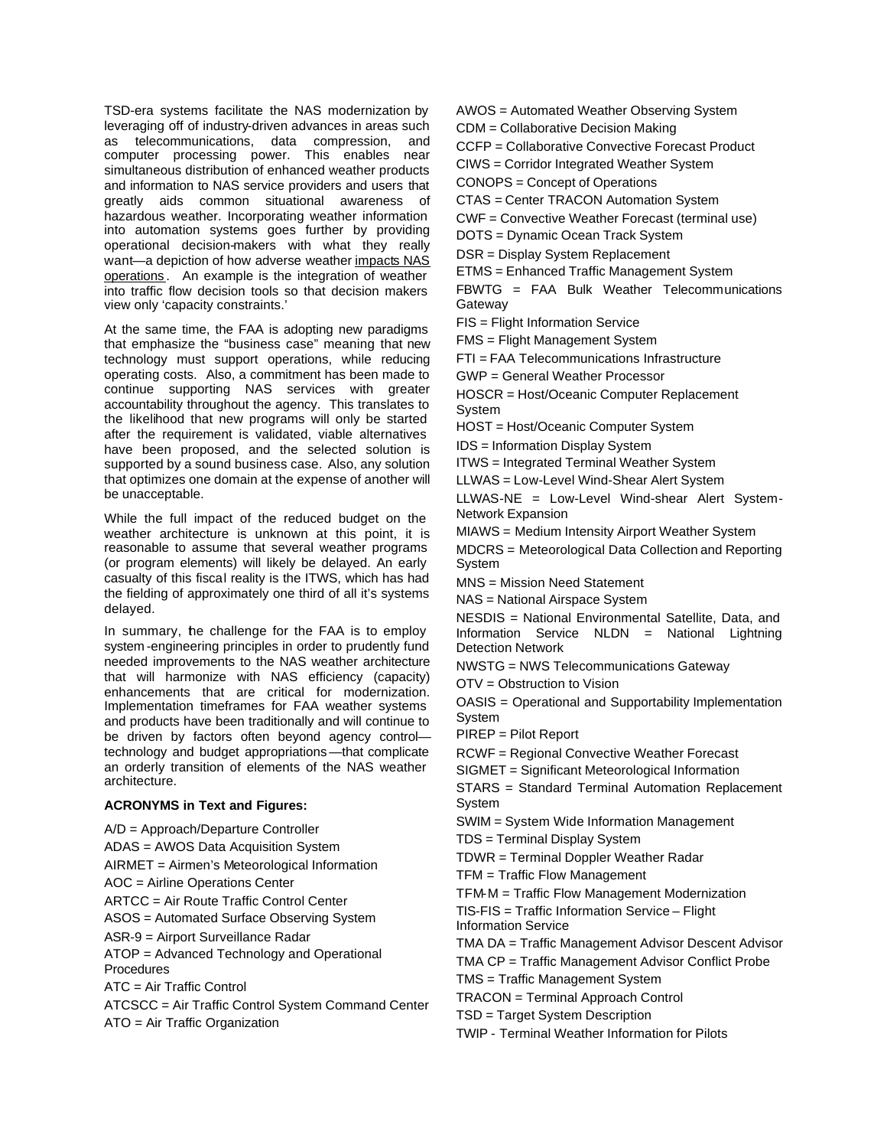TSD-era systems facilitate the NAS modernization by leveraging off of industry-driven advances in areas such as telecommunications, data compression, and computer processing power. This enables near simultaneous distribution of enhanced weather products and information to NAS service providers and users that greatly aids common situational awareness of hazardous weather. Incorporating weather information into automation systems goes further by providing operational decision-makers with what they really want—a depiction of how adverse weather impacts NAS operations . An example is the integration of weather into traffic flow decision tools so that decision makers view only 'capacity constraints.'

At the same time, the FAA is adopting new paradigms that emphasize the "business case" meaning that new technology must support operations, while reducing operating costs. Also, a commitment has been made to continue supporting NAS services with greater accountability throughout the agency. This translates to the likelihood that new programs will only be started after the requirement is validated, viable alternatives have been proposed, and the selected solution is supported by a sound business case. Also, any solution that optimizes one domain at the expense of another will be unacceptable.

While the full impact of the reduced budget on the weather architecture is unknown at this point, it is reasonable to assume that several weather programs (or program elements) will likely be delayed. An early casualty of this fiscal reality is the ITWS, which has had the fielding of approximately one third of all it's systems delayed.

In summary, the challenge for the FAA is to employ system -engineering principles in order to prudently fund needed improvements to the NAS weather architecture that will harmonize with NAS efficiency (capacity) enhancements that are critical for modernization. Implementation timeframes for FAA weather systems and products have been traditionally and will continue to be driven by factors often beyond agency control technology and budget appropriations—that complicate an orderly transition of elements of the NAS weather architecture.

# **ACRONYMS in Text and Figures:**

A/D = Approach/Departure Controller ADAS = AWOS Data Acquisition System AIRMET = Airmen's Meteorological Information AOC = Airline Operations Center ARTCC = Air Route Traffic Control Center ASOS = Automated Surface Observing System ASR-9 = Airport Surveillance Radar ATOP = Advanced Technology and Operational **Procedures** ATC = Air Traffic Control ATCSCC = Air Traffic Control System Command Center ATO = Air Traffic Organization

AWOS = Automated Weather Observing System

CDM = Collaborative Decision Making

CCFP = Collaborative Convective Forecast Product

CIWS = Corridor Integrated Weather System

CONOPS = Concept of Operations

CTAS = Center TRACON Automation System

CWF = Convective Weather Forecast (terminal use)

DOTS = Dynamic Ocean Track System

DSR = Display System Replacement

ETMS = Enhanced Traffic Management System FBWTG = FAA Bulk Weather Telecommunications Gateway

FIS = Flight Information Service

FMS = Flight Management System

FTI = FAA Telecommunications Infrastructure

GWP = General Weather Processor

HOSCR = Host/Oceanic Computer Replacement System

HOST = Host/Oceanic Computer System

IDS = Information Display System

ITWS = Integrated Terminal Weather System

LLWAS = Low-Level Wind-Shear Alert System

LLWAS-NE = Low-Level Wind-shear Alert System-Network Expansion

MIAWS = Medium Intensity Airport Weather System

MDCRS = Meteorological Data Collection and Reporting System

MNS = Mission Need Statement

NAS = National Airspace System

NESDIS = National Environmental Satellite, Data, and Information Service NLDN = National Lightning Detection Network

NWSTG = NWS Telecommunications Gateway

OTV = Obstruction to Vision

OASIS = Operational and Supportability Implementation System

PIREP = Pilot Report

RCWF = Regional Convective Weather Forecast

SIGMET = Significant Meteorological Information

STARS = Standard Terminal Automation Replacement System

SWIM = System Wide Information Management

TDS = Terminal Display System

TDWR = Terminal Doppler Weather Radar

TFM = Traffic Flow Management

TFM-M = Traffic Flow Management Modernization TIS-FIS = Traffic Information Service – Flight

Information Service

TMA DA = Traffic Management Advisor Descent Advisor

TMA CP = Traffic Management Advisor Conflict Probe

TMS = Traffic Management System

TRACON = Terminal Approach Control

TSD = Target System Description

TWIP - Terminal Weather Information for Pilots